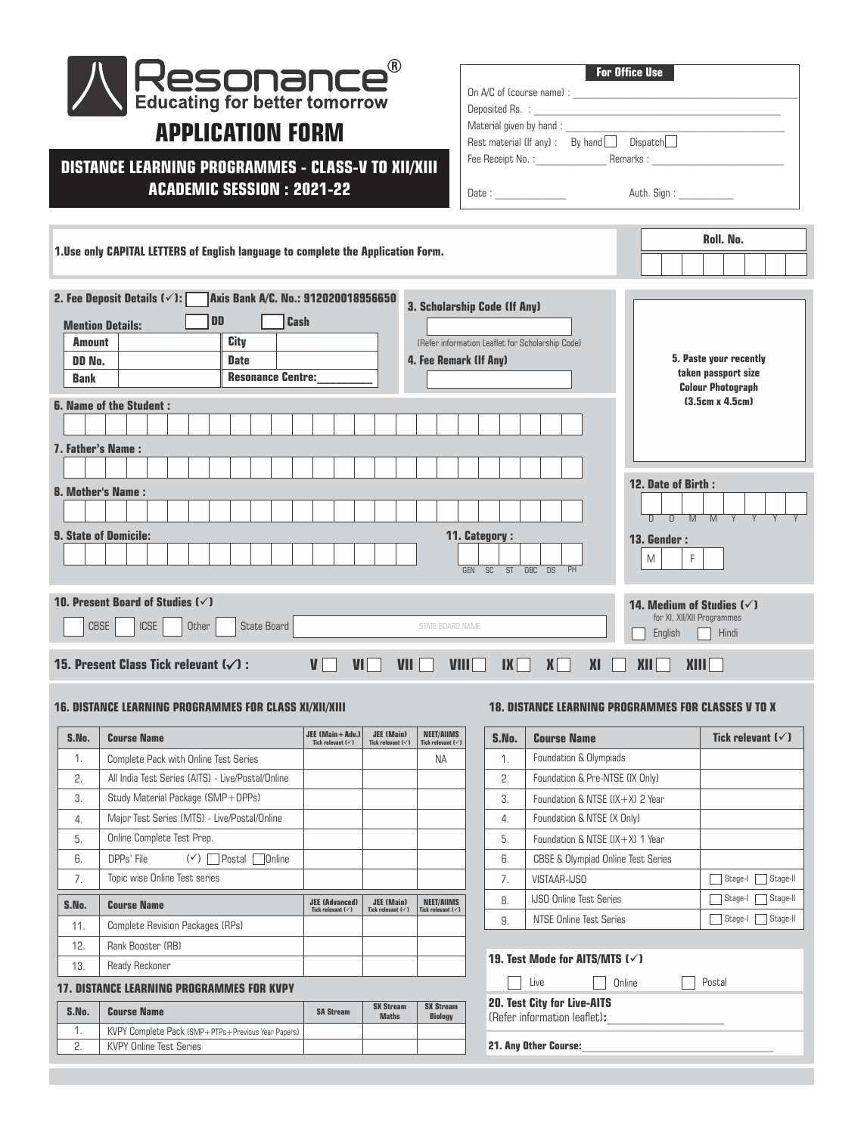

## **DISTANCE LEARNING PROGRAMMES - CLASS-V TO XII/XIII ACADEMIC SESSION : 2021-22**

| <b>For Office Use</b>                      |
|--------------------------------------------|
| On A/C of (course name) :                  |
| Deposited Rs. :                            |
| Material given by hand:                    |
| Rest material (If any): By hand   Dispatch |
| Remarks :<br>Fee Receipt No. :             |
|                                            |
| Auth. Sign:<br>Date:                       |

 $\blacksquare$ 

| 1. Use only CAPITAL LETTERS of English language to complete the Application Form.                                                                                                                                                                                                                | Roll. No.                                                                                                  |                                                                                                                         |  |  |  |  |  |
|--------------------------------------------------------------------------------------------------------------------------------------------------------------------------------------------------------------------------------------------------------------------------------------------------|------------------------------------------------------------------------------------------------------------|-------------------------------------------------------------------------------------------------------------------------|--|--|--|--|--|
| Axis Bank A/C. No.: 912020018956650<br>2. Fee Deposit Details $(\checkmark)$ :<br><b>DD</b><br><b>Cash</b><br><b>Mention Details:</b><br><b>City</b><br><b>Amount</b><br><b>Date</b><br>DD No.<br><b>Resonance Centre:</b><br><b>Bank</b><br><b>6. Name of the Student:</b><br>7. Father's Name: | 3. Scholarship Code (If Any)<br>(Refer information Leaflet for Scholarship Code)<br>4. Fee Remark (If Any) | 5. Paste your recently<br>taken passport size<br><b>Colour Photograph</b><br>$(3.5cm \times 4.5cm)$                     |  |  |  |  |  |
| 8. Mother's Name:<br><b>9. State of Domicile:</b>                                                                                                                                                                                                                                                | 11. Category:<br>SC<br>ST<br>GEN<br>OBC DS<br>PH                                                           | 12. Date of Birth:<br>$\overline{D}$<br>M<br>M<br>$\overline{D}$<br>Y<br>$\overline{Y}$<br><b>13. Gender:</b><br>F<br>M |  |  |  |  |  |
| 10. Present Board of Studies $(\checkmark)$<br><b>ICSE</b><br><b>State Board</b><br><b>CBSE</b><br>Other<br>15. Present Class Tick relevant $(\checkmark)$ :<br>$\mathbf{V}$<br>VII                                                                                                              | STATE BOARD NAME<br>X <sub>I</sub><br><b>VII</b><br>$\mathbf{K}$<br>VIII                                   | 14. Medium of Studies $(\checkmark)$<br>for XI, XII/XII Programmes<br>Hindi<br>English<br><b>XII</b><br><b>XIII</b>     |  |  |  |  |  |

## **16. DISTANCE LEARNING PROGRAMMES FOR CLASS XI/XII/XIII**

| S.No.           | <b>Course Name</b>                                | JEE (Main+Adv.)<br>Tick relevant $\lceil \sqrt{} \rceil$ | <b>JEE (Main)</b><br>Tick relevant $\lceil \sqrt{} \rceil$ | <b>NEET/AIIMS</b><br>Tick relevant $\lceil \sqrt{} \rceil$ |  |  |  |  |
|-----------------|---------------------------------------------------|----------------------------------------------------------|------------------------------------------------------------|------------------------------------------------------------|--|--|--|--|
| 1.              | Complete Pack with Online Test Series             |                                                          |                                                            | ΝA                                                         |  |  |  |  |
| 2.              | All India Test Series (AITS) - Live/Postal/Online |                                                          |                                                            |                                                            |  |  |  |  |
| 3.              | Study Material Package (SMP+DPPs)                 |                                                          |                                                            |                                                            |  |  |  |  |
| 4.              | Major Test Series (MTS) - Live/Postal/Online      |                                                          |                                                            |                                                            |  |  |  |  |
| 5.              | Online Complete Test Prep.                        |                                                          |                                                            |                                                            |  |  |  |  |
| 6.              | DPPs' File<br>Postal<br>lOnline<br>$(\checkmark)$ |                                                          |                                                            |                                                            |  |  |  |  |
| 7.              | Topic wise Online Test series                     |                                                          |                                                            |                                                            |  |  |  |  |
| S.No.           | <b>Course Name</b>                                | <b>JEE (Advanced)</b><br>Tick relevant $(\sqrt{)}$       | <b>JFF (Main)</b><br>Tick relevant $(\checkmark)$          | <b>NEET/AIIMS</b><br>Tick relevant $(\checkmark)$          |  |  |  |  |
| 11.             | <b>Complete Revision Packages (RPs)</b>           |                                                          |                                                            |                                                            |  |  |  |  |
| 12 <sub>1</sub> | Rank Booster (RB)                                 |                                                          |                                                            |                                                            |  |  |  |  |
| 13.             | Ready Reckoner                                    |                                                          |                                                            |                                                            |  |  |  |  |
|                 | 17. DISTANCE LEARNING PROGRAMMES FOR KVPY         |                                                          |                                                            |                                                            |  |  |  |  |

## **S.No. Course Name** 1. KVPY Complete Pack (SMP+PTPs+Previous Year Papers) **SX Stream Maths SA Stream SX Stream Biology** 2. | KVPY Online Test Series

## **18. DISTANCE LEARNING PROGRAMMES FOR CLASSES V TO X**

| S.No. | <b>Course Name</b>                            | Tick relevant $(\checkmark)$ |
|-------|-----------------------------------------------|------------------------------|
| 1.    | Foundation & Olympiads                        |                              |
| 2.    | Foundation & Pre-NTSE (IX Only)               |                              |
| 3.    | Foundation & NTSE $(IX + X)$ 2 Year           |                              |
| 4.    | Foundation & NTSE (X Only)                    |                              |
| 5.    | Foundation & NTSF $(IX + X)$ 1 Year           |                              |
| 6.    | <b>CBSE &amp; Olympiad Online Test Series</b> |                              |
| 7.    | VISTAAR-IJSO                                  | Stage-I<br>Stage-II          |
| 8.    | <b>IJSO Online Test Series</b>                | Stage-I<br>Stage-II          |
| 9.    | NTSE Online Test Series                       | Stage-I<br>Stage-II          |

| 19. Test Mode for AITS/MTS $(\checkmark)$                          |  |        |        |  |  |  |  |  |  |  |  |  |  |
|--------------------------------------------------------------------|--|--------|--------|--|--|--|--|--|--|--|--|--|--|
| Live                                                               |  | Online | Postal |  |  |  |  |  |  |  |  |  |  |
| <b>20. Test City for Live-AITS</b><br>(Refer information leaflet): |  |        |        |  |  |  |  |  |  |  |  |  |  |

**21. Any Other Course:**\_\_\_\_\_\_\_\_\_\_\_\_\_\_\_\_\_\_\_\_\_\_\_\_\_\_\_\_\_\_\_\_\_\_\_